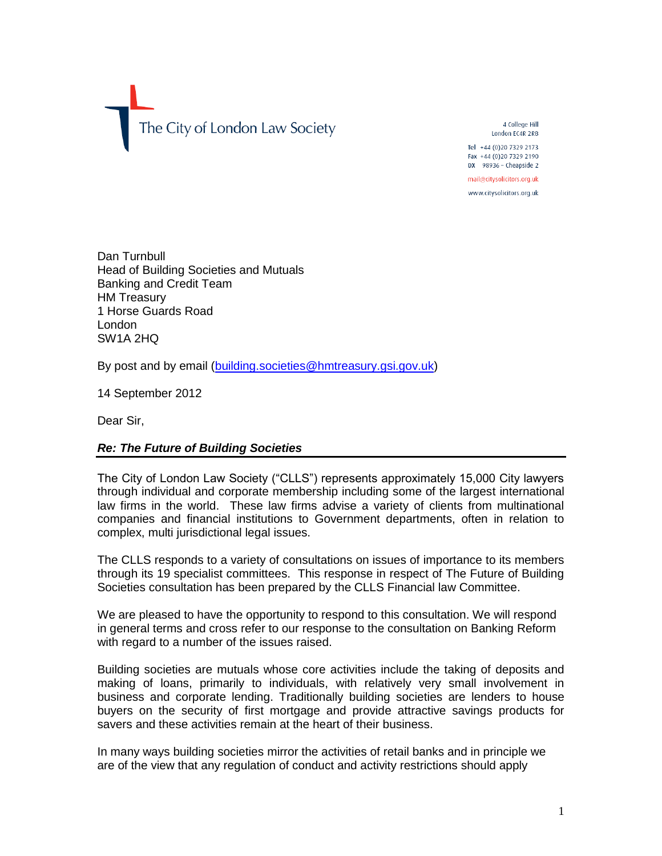The City of London Law Society

4 College Hill London EC4R 2RB Tel +44 (0) 20 7329 2173

Fax +44 (0)20 7329 2190  $DX$  98936 - Cheapside 2

mail@citysolicitors.org.uk www.citysolicitors.org.uk

Dan Turnbull Head of Building Societies and Mutuals Banking and Credit Team HM Treasury 1 Horse Guards Road London SW1A 2HQ

By post and by email [\(building.societies@hmtreasury.gsi.gov.uk\)](mailto:building.societies@hmtreasury.gsi.gov.uk)

14 September 2012

Dear Sir,

## *Re: The Future of Building Societies*

The City of London Law Society ("CLLS") represents approximately 15,000 City lawyers through individual and corporate membership including some of the largest international law firms in the world. These law firms advise a variety of clients from multinational companies and financial institutions to Government departments, often in relation to complex, multi jurisdictional legal issues.

The CLLS responds to a variety of consultations on issues of importance to its members through its 19 specialist committees. This response in respect of The Future of Building Societies consultation has been prepared by the CLLS Financial law Committee.

We are pleased to have the opportunity to respond to this consultation. We will respond in general terms and cross refer to our response to the consultation on Banking Reform with regard to a number of the issues raised.

Building societies are mutuals whose core activities include the taking of deposits and making of loans, primarily to individuals, with relatively very small involvement in business and corporate lending. Traditionally building societies are lenders to house buyers on the security of first mortgage and provide attractive savings products for savers and these activities remain at the heart of their business.

In many ways building societies mirror the activities of retail banks and in principle we are of the view that any regulation of conduct and activity restrictions should apply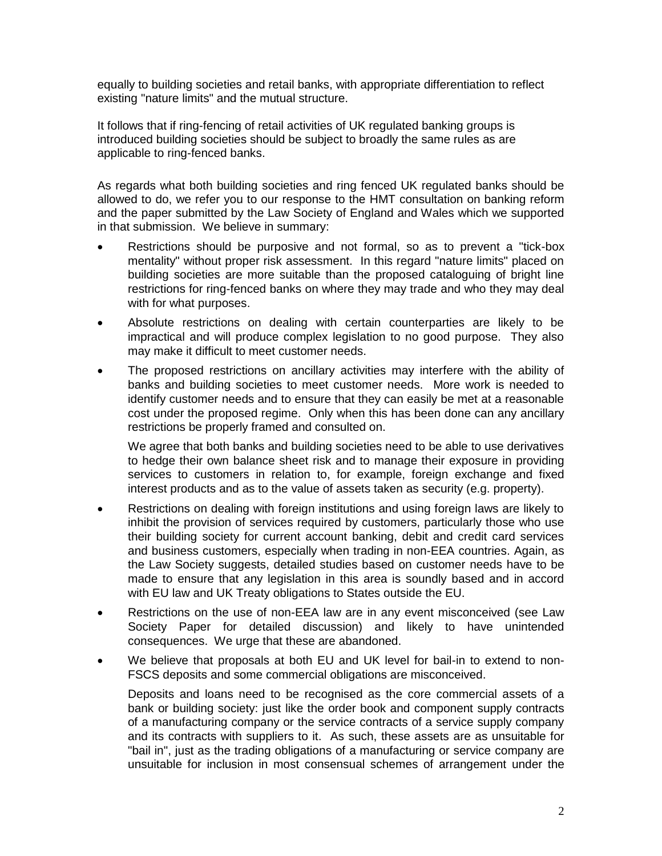equally to building societies and retail banks, with appropriate differentiation to reflect existing "nature limits" and the mutual structure.

It follows that if ring-fencing of retail activities of UK regulated banking groups is introduced building societies should be subject to broadly the same rules as are applicable to ring-fenced banks.

As regards what both building societies and ring fenced UK regulated banks should be allowed to do, we refer you to our response to the HMT consultation on banking reform and the paper submitted by the Law Society of England and Wales which we supported in that submission. We believe in summary:

- Restrictions should be purposive and not formal, so as to prevent a "tick-box mentality" without proper risk assessment. In this regard "nature limits" placed on building societies are more suitable than the proposed cataloguing of bright line restrictions for ring-fenced banks on where they may trade and who they may deal with for what purposes.
- Absolute restrictions on dealing with certain counterparties are likely to be impractical and will produce complex legislation to no good purpose. They also may make it difficult to meet customer needs.
- The proposed restrictions on ancillary activities may interfere with the ability of banks and building societies to meet customer needs. More work is needed to identify customer needs and to ensure that they can easily be met at a reasonable cost under the proposed regime. Only when this has been done can any ancillary restrictions be properly framed and consulted on.

We agree that both banks and building societies need to be able to use derivatives to hedge their own balance sheet risk and to manage their exposure in providing services to customers in relation to, for example, foreign exchange and fixed interest products and as to the value of assets taken as security (e.g. property).

- Restrictions on dealing with foreign institutions and using foreign laws are likely to inhibit the provision of services required by customers, particularly those who use their building society for current account banking, debit and credit card services and business customers, especially when trading in non-EEA countries. Again, as the Law Society suggests, detailed studies based on customer needs have to be made to ensure that any legislation in this area is soundly based and in accord with EU law and UK Treaty obligations to States outside the EU.
- Restrictions on the use of non-EEA law are in any event misconceived (see Law Society Paper for detailed discussion) and likely to have unintended consequences. We urge that these are abandoned.
- We believe that proposals at both EU and UK level for bail-in to extend to non-FSCS deposits and some commercial obligations are misconceived.

Deposits and loans need to be recognised as the core commercial assets of a bank or building society: just like the order book and component supply contracts of a manufacturing company or the service contracts of a service supply company and its contracts with suppliers to it. As such, these assets are as unsuitable for "bail in", just as the trading obligations of a manufacturing or service company are unsuitable for inclusion in most consensual schemes of arrangement under the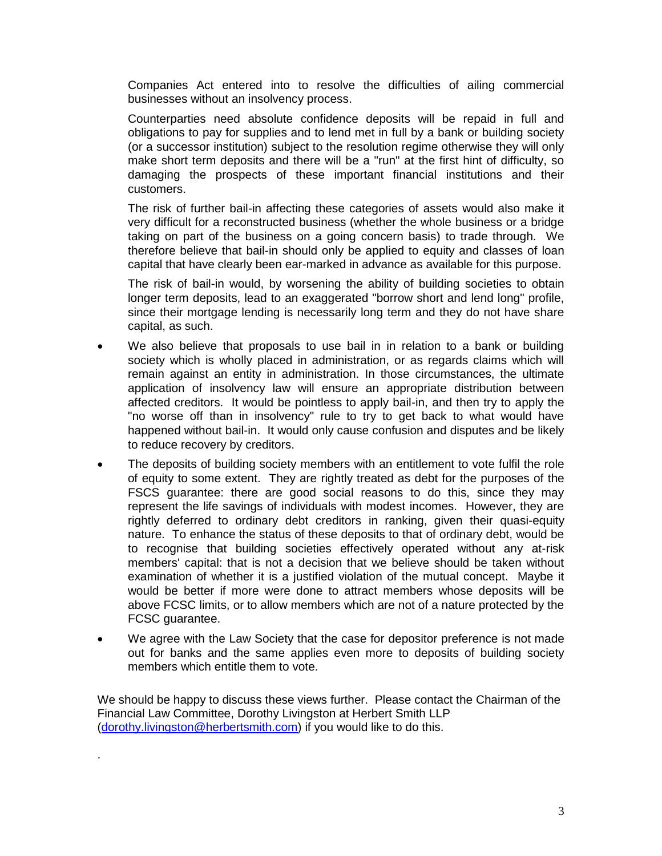Companies Act entered into to resolve the difficulties of ailing commercial businesses without an insolvency process.

Counterparties need absolute confidence deposits will be repaid in full and obligations to pay for supplies and to lend met in full by a bank or building society (or a successor institution) subject to the resolution regime otherwise they will only make short term deposits and there will be a "run" at the first hint of difficulty, so damaging the prospects of these important financial institutions and their customers.

The risk of further bail-in affecting these categories of assets would also make it very difficult for a reconstructed business (whether the whole business or a bridge taking on part of the business on a going concern basis) to trade through. We therefore believe that bail-in should only be applied to equity and classes of loan capital that have clearly been ear-marked in advance as available for this purpose.

The risk of bail-in would, by worsening the ability of building societies to obtain longer term deposits, lead to an exaggerated "borrow short and lend long" profile, since their mortgage lending is necessarily long term and they do not have share capital, as such.

- We also believe that proposals to use bail in in relation to a bank or building society which is wholly placed in administration, or as regards claims which will remain against an entity in administration. In those circumstances, the ultimate application of insolvency law will ensure an appropriate distribution between affected creditors. It would be pointless to apply bail-in, and then try to apply the "no worse off than in insolvency" rule to try to get back to what would have happened without bail-in. It would only cause confusion and disputes and be likely to reduce recovery by creditors.
- The deposits of building society members with an entitlement to vote fulfil the role of equity to some extent. They are rightly treated as debt for the purposes of the FSCS guarantee: there are good social reasons to do this, since they may represent the life savings of individuals with modest incomes. However, they are rightly deferred to ordinary debt creditors in ranking, given their quasi-equity nature. To enhance the status of these deposits to that of ordinary debt, would be to recognise that building societies effectively operated without any at-risk members' capital: that is not a decision that we believe should be taken without examination of whether it is a justified violation of the mutual concept. Maybe it would be better if more were done to attract members whose deposits will be above FCSC limits, or to allow members which are not of a nature protected by the FCSC guarantee.
- We agree with the Law Society that the case for depositor preference is not made out for banks and the same applies even more to deposits of building society members which entitle them to vote.

We should be happy to discuss these views further. Please contact the Chairman of the Financial Law Committee, Dorothy Livingston at Herbert Smith LLP [\(dorothy.livingston@herbertsmith.com\)](mailto:dorothy.livingston@herbertsmith.com) if you would like to do this.

.